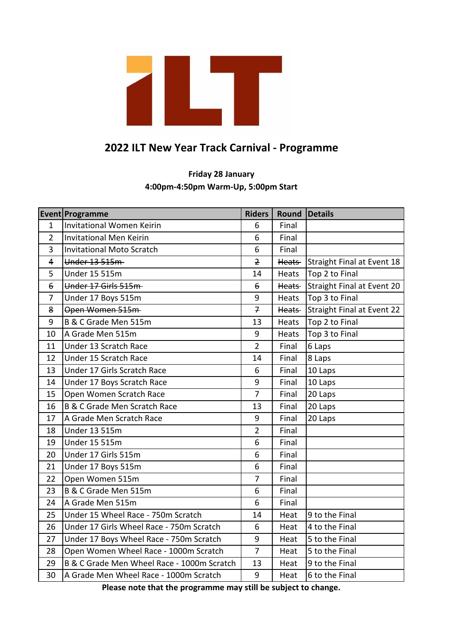

## **2022 ILT New Year Track Carnival - Programme**

## **4:00pm-4:50pm Warm-Up, 5:00pm Start Friday 28 January**

|                    | Event Programme                            | <b>Riders</b>  | Round Details |                                   |
|--------------------|--------------------------------------------|----------------|---------------|-----------------------------------|
| $\mathbf{1}$       | Invitational Women Keirin                  | 6              | Final         |                                   |
| $\overline{2}$     | <b>Invitational Men Keirin</b>             | 6              | Final         |                                   |
| 3                  | <b>Invitational Moto Scratch</b>           | 6              | Final         |                                   |
| 4                  | Under 13 515m                              | $\overline{z}$ | Heats-        | Straight Final at Event 18        |
| 5                  | <b>Under 15 515m</b>                       | 14             | Heats         | Top 2 to Final                    |
| $\pmb{\mathrm{6}}$ | Under 17 Girls 515m-                       | $\epsilon$     | Heats-        | Straight Final at Event 20        |
| $\overline{7}$     | Under 17 Boys 515m                         | 9              | Heats         | Top 3 to Final                    |
| 8                  | Open Women 515m                            | $\overline{t}$ | Heats-        | <b>Straight Final at Event 22</b> |
| 9                  | B & C Grade Men 515m                       | 13             | Heats         | Top 2 to Final                    |
| 10                 | A Grade Men 515m                           | 9              | Heats         | Top 3 to Final                    |
| 11                 | Under 13 Scratch Race                      | $\overline{2}$ | Final         | 6 Laps                            |
| 12                 | Under 15 Scratch Race                      | 14             | Final         | 8 Laps                            |
| 13                 | Under 17 Girls Scratch Race                | 6              | Final         | 10 Laps                           |
| 14                 | Under 17 Boys Scratch Race                 | 9              | Final         | 10 Laps                           |
| 15                 | Open Women Scratch Race                    | $\overline{7}$ | Final         | 20 Laps                           |
| 16                 | <b>B &amp; C Grade Men Scratch Race</b>    | 13             | Final         | 20 Laps                           |
| 17                 | A Grade Men Scratch Race                   | 9              | Final         | 20 Laps                           |
| 18                 | <b>Under 13 515m</b>                       | $\overline{2}$ | Final         |                                   |
| 19                 | <b>Under 15 515m</b>                       | 6              | Final         |                                   |
| 20                 | Under 17 Girls 515m                        | 6              | Final         |                                   |
| 21                 | Under 17 Boys 515m                         | 6              | Final         |                                   |
| 22                 | Open Women 515m                            | $\overline{7}$ | Final         |                                   |
| 23                 | B & C Grade Men 515m                       | 6              | Final         |                                   |
| 24                 | A Grade Men 515m                           | 6              | Final         |                                   |
| 25                 | Under 15 Wheel Race - 750m Scratch         | 14             | Heat          | 9 to the Final                    |
| 26                 | Under 17 Girls Wheel Race - 750m Scratch   | 6              | Heat          | 4 to the Final                    |
| 27                 | Under 17 Boys Wheel Race - 750m Scratch    | 9              | Heat          | 5 to the Final                    |
| 28                 | Open Women Wheel Race - 1000m Scratch      | $\overline{7}$ | Heat          | 5 to the Final                    |
| 29                 | B & C Grade Men Wheel Race - 1000m Scratch | 13             | Heat          | 9 to the Final                    |
| 30                 | A Grade Men Wheel Race - 1000m Scratch     | 9              | Heat          | 6 to the Final                    |

**Please note that the programme may still be subject to change.**